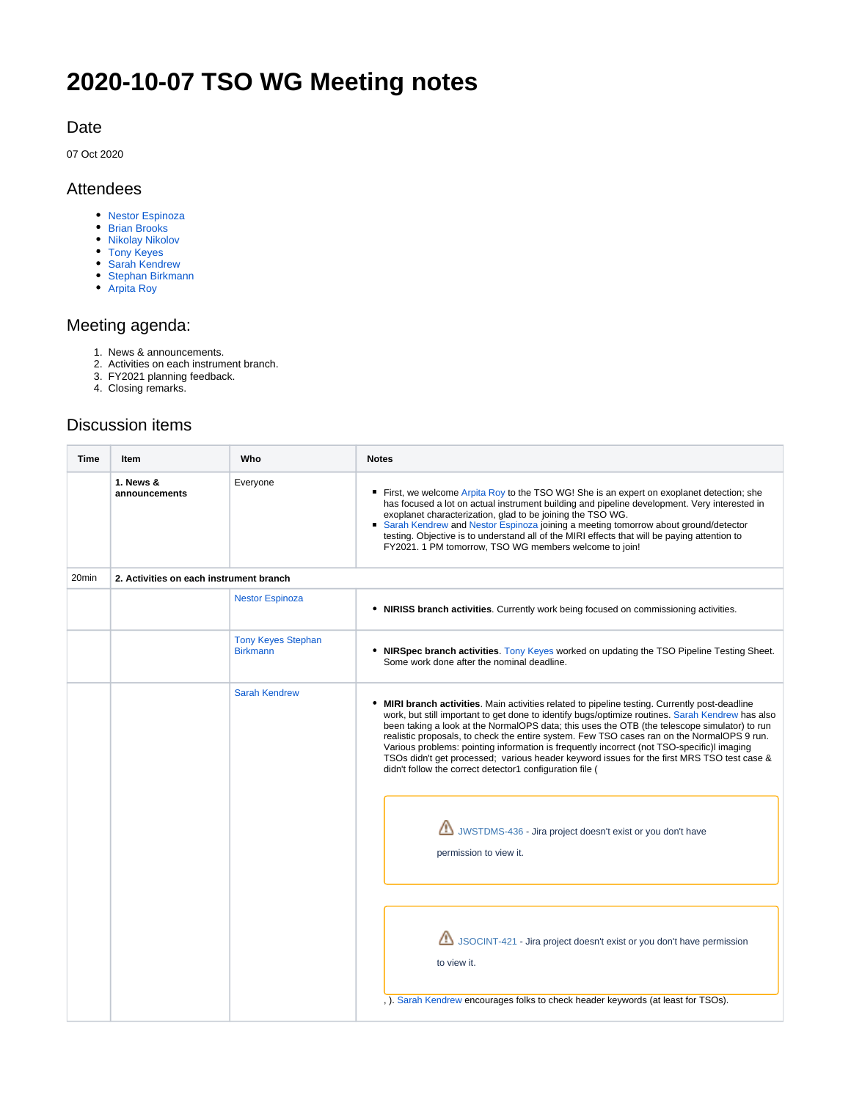# **2020-10-07 TSO WG Meeting notes**

#### Date

07 Oct 2020

#### Attendees

- [Nestor Espinoza](https://outerspace.stsci.edu/display/~nespinoza)
- [Brian Brooks](https://outerspace.stsci.edu/display/~bbrooks)
- [Nikolay Nikolov](https://outerspace.stsci.edu/display/~nnikolov)
- [Tony Keyes](https://outerspace.stsci.edu/display/~keyes)
- [Sarah Kendrew](https://outerspace.stsci.edu/display/~skendrew)
- [Stephan Birkmann](https://outerspace.stsci.edu/display/~birkmann) [Arpita Roy](https://outerspace.stsci.edu/display/~aroy)

## Meeting agenda:

- 1. News & announcements.
- 2. Activities on each instrument branch.
- 3. FY2021 planning feedback.
- 4. Closing remarks.

### Discussion items

| Item                       | Who                                          | <b>Notes</b>                                                                                                                                                                                                                                                                                                                                                                                                                                                                                                                                                                                                                                            |  |
|----------------------------|----------------------------------------------|---------------------------------------------------------------------------------------------------------------------------------------------------------------------------------------------------------------------------------------------------------------------------------------------------------------------------------------------------------------------------------------------------------------------------------------------------------------------------------------------------------------------------------------------------------------------------------------------------------------------------------------------------------|--|
| 1. News &<br>announcements | Everyone                                     | ■ First, we welcome Arpita Roy to the TSO WG! She is an expert on exoplanet detection; she<br>has focused a lot on actual instrument building and pipeline development. Very interested in<br>exoplanet characterization, glad to be joining the TSO WG.<br>Sarah Kendrew and Nestor Espinoza joining a meeting tomorrow about ground/detector<br>testing. Objective is to understand all of the MIRI effects that will be paying attention to<br>FY2021. 1 PM tomorrow, TSO WG members welcome to join!                                                                                                                                                |  |
|                            |                                              |                                                                                                                                                                                                                                                                                                                                                                                                                                                                                                                                                                                                                                                         |  |
|                            | <b>Nestor Espinoza</b>                       | • NIRISS branch activities. Currently work being focused on commissioning activities.                                                                                                                                                                                                                                                                                                                                                                                                                                                                                                                                                                   |  |
|                            | <b>Tony Keyes Stephan</b><br><b>Birkmann</b> | • NIRSpec branch activities. Tony Keyes worked on updating the TSO Pipeline Testing Sheet.<br>Some work done after the nominal deadline.                                                                                                                                                                                                                                                                                                                                                                                                                                                                                                                |  |
|                            | <b>Sarah Kendrew</b>                         | • MIRI branch activities. Main activities related to pipeline testing. Currently post-deadline<br>work, but still important to get done to identify bugs/optimize routines. Sarah Kendrew has also<br>been taking a look at the NormalOPS data; this uses the OTB (the telescope simulator) to run<br>realistic proposals, to check the entire system. Few TSO cases ran on the NormalOPS 9 run.<br>Various problems: pointing information is frequently incorrect (not TSO-specific) imaging<br>TSOs didn't get processed; various header keyword issues for the first MRS TSO test case &<br>didn't follow the correct detector1 configuration file ( |  |
|                            |                                              | JWSTDMS-436 - Jira project doesn't exist or you don't have<br>permission to view it.                                                                                                                                                                                                                                                                                                                                                                                                                                                                                                                                                                    |  |
|                            |                                              | JSOCINT-421 - Jira project doesn't exist or you don't have permission<br>to view it.<br>, ). Sarah Kendrew encourages folks to check header keywords (at least for TSOs).                                                                                                                                                                                                                                                                                                                                                                                                                                                                               |  |
|                            |                                              | 2. Activities on each instrument branch                                                                                                                                                                                                                                                                                                                                                                                                                                                                                                                                                                                                                 |  |